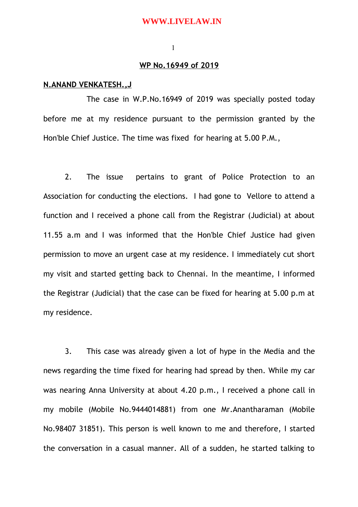### **WWW.LIVELAW.IN**

#### 1

## **WP No.16949 of 2019**

## **N.ANAND VENKATESH.,J**

The case in W.P.No.16949 of 2019 was specially posted today before me at my residence pursuant to the permission granted by the Hon'ble Chief Justice. The time was fixed for hearing at 5.00 P.M.,

2. The issue pertains to grant of Police Protection to an Association for conducting the elections. I had gone to Vellore to attend a function and I received a phone call from the Registrar (Judicial) at about 11.55 a.m and I was informed that the Hon'ble Chief Justice had given permission to move an urgent case at my residence. I immediately cut short my visit and started getting back to Chennai. In the meantime, I informed the Registrar (Judicial) that the case can be fixed for hearing at 5.00 p.m at my residence.

3. This case was already given a lot of hype in the Media and the news regarding the time fixed for hearing had spread by then. While my car was nearing Anna University at about 4.20 p.m., I received a phone call in my mobile (Mobile No.9444014881) from one Mr.Anantharaman (Mobile No.98407 31851). This person is well known to me and therefore, I started the conversation in a casual manner. All of a sudden, he started talking to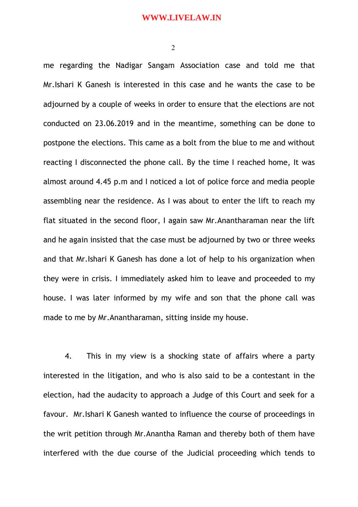2

me regarding the Nadigar Sangam Association case and told me that Mr.Ishari K Ganesh is interested in this case and he wants the case to be adjourned by a couple of weeks in order to ensure that the elections are not conducted on 23.06.2019 and in the meantime, something can be done to postpone the elections. This came as a bolt from the blue to me and without reacting I disconnected the phone call. By the time I reached home, It was almost around 4.45 p.m and I noticed a lot of police force and media people assembling near the residence. As I was about to enter the lift to reach my flat situated in the second floor, I again saw Mr.Anantharaman near the lift and he again insisted that the case must be adjourned by two or three weeks and that Mr.Ishari K Ganesh has done a lot of help to his organization when they were in crisis. I immediately asked him to leave and proceeded to my house. I was later informed by my wife and son that the phone call was made to me by Mr.Anantharaman, sitting inside my house.

4. This in my view is a shocking state of affairs where a party interested in the litigation, and who is also said to be a contestant in the election, had the audacity to approach a Judge of this Court and seek for a favour. Mr.Ishari K Ganesh wanted to influence the course of proceedings in the writ petition through Mr.Anantha Raman and thereby both of them have interfered with the due course of the Judicial proceeding which tends to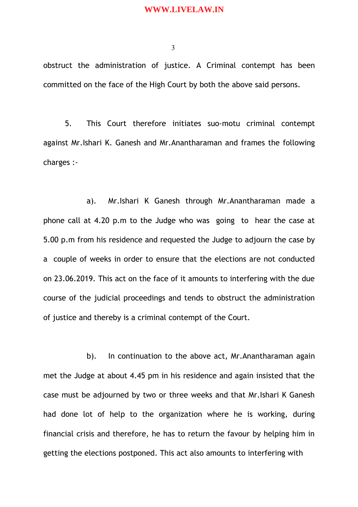## **WWW.LIVELAW.IN**

3

obstruct the administration of justice. A Criminal contempt has been committed on the face of the High Court by both the above said persons.

5. This Court therefore initiates suo-motu criminal contempt against Mr.Ishari K. Ganesh and Mr.Anantharaman and frames the following charges :-

a). Mr.Ishari K Ganesh through Mr.Anantharaman made a phone call at 4.20 p.m to the Judge who was going to hear the case at 5.00 p.m from his residence and requested the Judge to adjourn the case by a couple of weeks in order to ensure that the elections are not conducted on 23.06.2019. This act on the face of it amounts to interfering with the due course of the judicial proceedings and tends to obstruct the administration of justice and thereby is a criminal contempt of the Court.

b). In continuation to the above act, Mr.Anantharaman again met the Judge at about 4.45 pm in his residence and again insisted that the case must be adjourned by two or three weeks and that Mr.Ishari K Ganesh had done lot of help to the organization where he is working, during financial crisis and therefore, he has to return the favour by helping him in getting the elections postponed. This act also amounts to interfering with